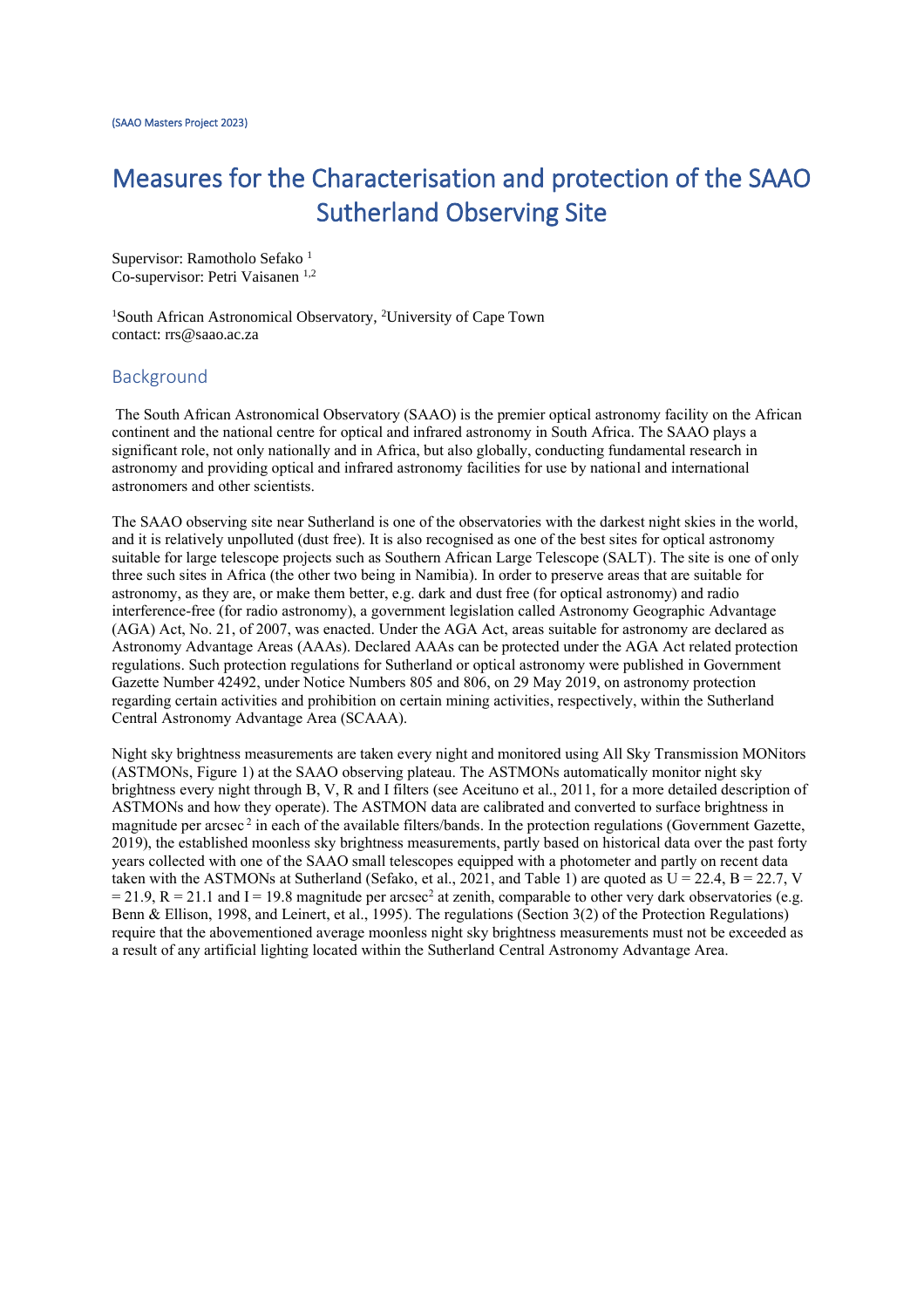# Measures for the Characterisation and protection of the SAAO Sutherland Observing Site

Supervisor: Ramotholo Sefako<sup>1</sup> Co-supervisor: Petri Vaisanen 1,2

<sup>1</sup>South African Astronomical Observatory, <sup>2</sup>University of Cape Town contact: rrs@saao.ac.za

#### Background

The South African Astronomical Observatory (SAAO) is the premier optical astronomy facility on the African continent and the national centre for optical and infrared astronomy in South Africa. The SAAO plays a significant role, not only nationally and in Africa, but also globally, conducting fundamental research in astronomy and providing optical and infrared astronomy facilities for use by national and international astronomers and other scientists.

The SAAO observing site near Sutherland is one of the observatories with the darkest night skies in the world, and it is relatively unpolluted (dust free). It is also recognised as one of the best sites for optical astronomy suitable for large telescope projects such as Southern African Large Telescope (SALT). The site is one of only three such sites in Africa (the other two being in Namibia). In order to preserve areas that are suitable for astronomy, as they are, or make them better, e.g. dark and dust free (for optical astronomy) and radio interference-free (for radio astronomy), a government legislation called Astronomy Geographic Advantage (AGA) Act, No. 21, of 2007, was enacted. Under the AGA Act, areas suitable for astronomy are declared as Astronomy Advantage Areas (AAAs). Declared AAAs can be protected under the AGA Act related protection regulations. Such protection regulations for Sutherland or optical astronomy were published in Government Gazette Number 42492, under Notice Numbers 805 and 806, on 29 May 2019, on astronomy protection regarding certain activities and prohibition on certain mining activities, respectively, within the Sutherland Central Astronomy Advantage Area (SCAAA).

Night sky brightness measurements are taken every night and monitored using All Sky Transmission MONitors (ASTMONs, Figure 1) at the SAAO observing plateau. The ASTMONs automatically monitor night sky brightness every night through B, V, R and I filters (see Aceituno et al., 2011, for a more detailed description of ASTMONs and how they operate). The ASTMON data are calibrated and converted to surface brightness in magnitude per arcsec<sup>2</sup> in each of the available filters/bands. In the protection regulations (Government Gazette, 2019), the established moonless sky brightness measurements, partly based on historical data over the past forty years collected with one of the SAAO small telescopes equipped with a photometer and partly on recent data taken with the ASTMONs at Sutherland (Sefako, et al., 2021, and Table 1) are quoted as  $U = 22.4$ ,  $B = 22.7$ , V  $= 21.9$ , R = 21.1 and I = 19.8 magnitude per arcsec<sup>2</sup> at zenith, comparable to other very dark observatories (e.g. Benn & Ellison, 1998, and Leinert, et al., 1995). The regulations (Section 3(2) of the Protection Regulations) require that the abovementioned average moonless night sky brightness measurements must not be exceeded as a result of any artificial lighting located within the Sutherland Central Astronomy Advantage Area.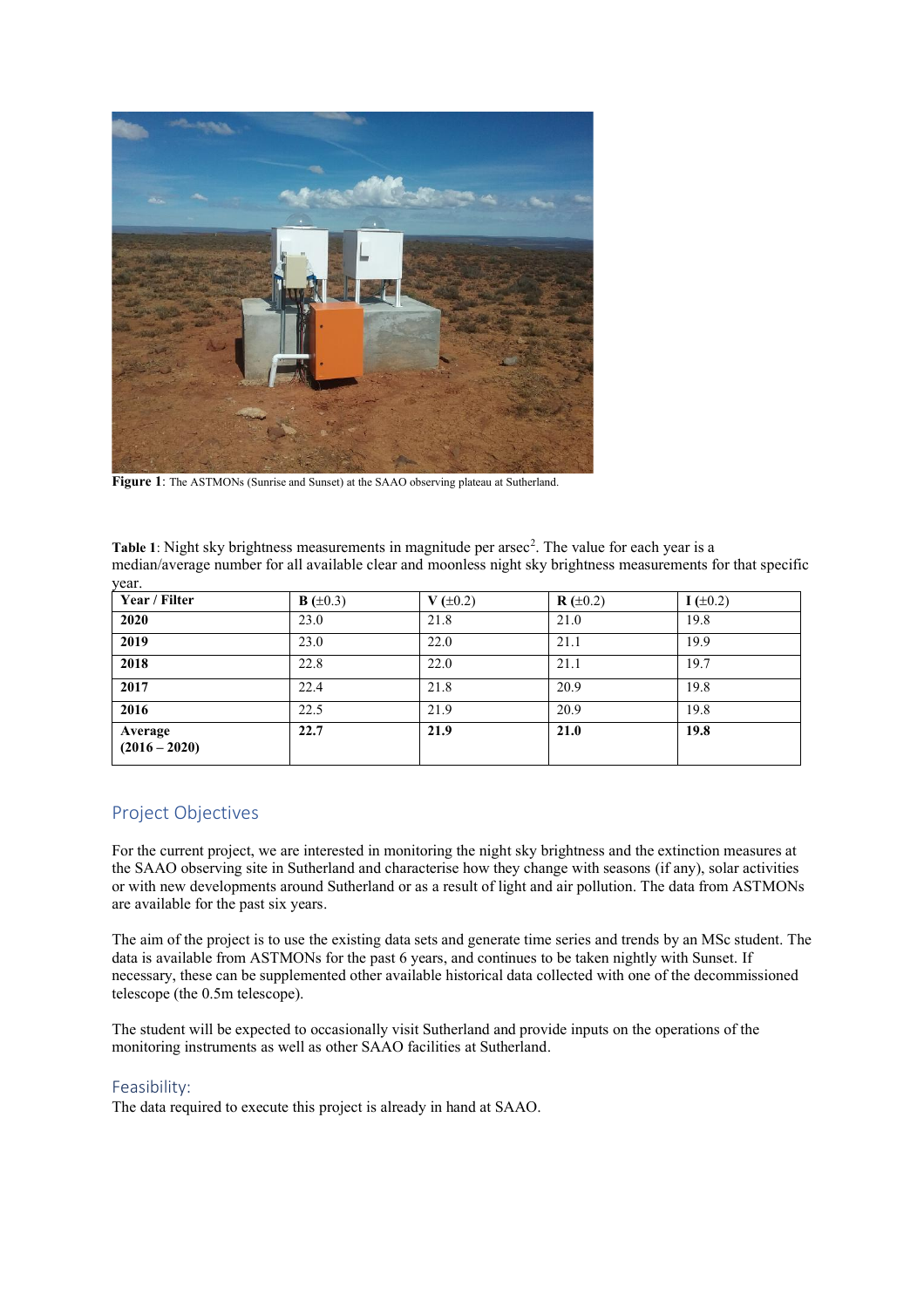

**Figure 1**: The ASTMONs (Sunrise and Sunset) at the SAAO observing plateau at Sutherland.

| Table 1: Night sky brightness measurements in magnitude per arsec <sup>2</sup> . The value for each year is a  |                      |           |            |           |  |  |  |  |  |
|----------------------------------------------------------------------------------------------------------------|----------------------|-----------|------------|-----------|--|--|--|--|--|
| median/average number for all available clear and moonless night sky brightness measurements for that specific |                      |           |            |           |  |  |  |  |  |
| vear.                                                                                                          |                      |           |            |           |  |  |  |  |  |
| Year / Filter                                                                                                  | <b>B</b> $(\pm 0.3)$ | $V(+0.2)$ | $R (+0.2)$ | $I(+0.2)$ |  |  |  |  |  |

| Year / Filter              | <b>B</b> ( $\pm 0.3$ ) | $V (\pm 0.2)$ | $R (\pm 0.2)$ | $I(\pm 0.2)$ |
|----------------------------|------------------------|---------------|---------------|--------------|
| 2020                       | 23.0                   | 21.8          | 21.0          | 19.8         |
| 2019                       | 23.0                   | 22.0          | 21.1          | 19.9         |
| 2018                       | 22.8                   | 22.0          | 21.1          | 19.7         |
| 2017                       | 22.4                   | 21.8          | 20.9          | 19.8         |
| 2016                       | 22.5                   | 21.9          | 20.9          | 19.8         |
| Average<br>$(2016 - 2020)$ | 22.7                   | 21.9          | 21.0          | 19.8         |

## Project Objectives

For the current project, we are interested in monitoring the night sky brightness and the extinction measures at the SAAO observing site in Sutherland and characterise how they change with seasons (if any), solar activities or with new developments around Sutherland or as a result of light and air pollution. The data from ASTMONs are available for the past six years.

The aim of the project is to use the existing data sets and generate time series and trends by an MSc student. The data is available from ASTMONs for the past 6 years, and continues to be taken nightly with Sunset. If necessary, these can be supplemented other available historical data collected with one of the decommissioned telescope (the 0.5m telescope).

The student will be expected to occasionally visit Sutherland and provide inputs on the operations of the monitoring instruments as well as other SAAO facilities at Sutherland.

### Feasibility:

The data required to execute this project is already in hand at SAAO.